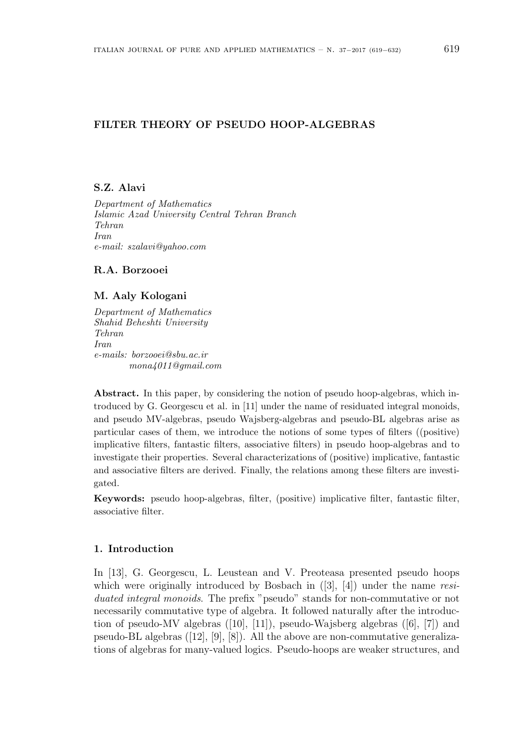# **FILTER THEORY OF PSEUDO HOOP-ALGEBRAS**

# **S.Z. Alavi**

*Department of Mathematics Islamic Azad University Central Tehran Branch Tehran Iran e-mail: szalavi@yahoo.com*

### **R.A. Borzooei**

# **M. Aaly Kologani**

*Department of Mathematics Shahid Beheshti University Tehran Iran e-mails: borzooei@sbu.ac.ir mona4011@gmail.com*

**Abstract.** In this paper, by considering the notion of pseudo hoop-algebras, which introduced by G. Georgescu et al. in [11] under the name of residuated integral monoids, and pseudo MV-algebras, pseudo Wajsberg-algebras and pseudo-BL algebras arise as particular cases of them, we introduce the notions of some types of filters ((positive) implicative filters, fantastic filters, associative filters) in pseudo hoop-algebras and to investigate their properties. Several characterizations of (positive) implicative, fantastic and associative filters are derived. Finally, the relations among these filters are investigated.

**Keywords:** pseudo hoop-algebras, filter, (positive) implicative filter, fantastic filter, associative filter.

# **1. Introduction**

In [13], G. Georgescu, L. Leustean and V. Preoteasa presented pseudo hoops which were originally introduced by Bosbach in  $([3], [4])$  under the name *residuated integral monoids*. The prefix "pseudo" stands for non-commutative or not necessarily commutative type of algebra. It followed naturally after the introduction of pseudo-MV algebras ([10], [11]), pseudo-Wajsberg algebras ([6], [7]) and pseudo-BL algebras  $([12], [9], [8])$ . All the above are non-commutative generalizations of algebras for many-valued logics. Pseudo-hoops are weaker structures, and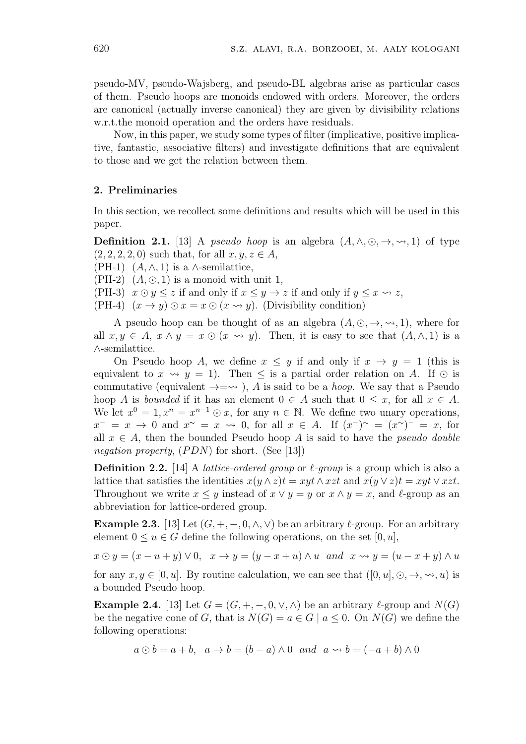pseudo-MV, pseudo-Wajsberg, and pseudo-BL algebras arise as particular cases of them. Pseudo hoops are monoids endowed with orders. Moreover, the orders are canonical (actually inverse canonical) they are given by divisibility relations w.r.t.the monoid operation and the orders have residuals.

Now, in this paper, we study some types of filter (implicative, positive implicative, fantastic, associative filters) and investigate definitions that are equivalent to those and we get the relation between them.

#### **2. Preliminaries**

In this section, we recollect some definitions and results which will be used in this paper.

**Definition 2.1.** [13] A *pseudo hoop* is an algebra  $(A, \wedge, \odot, \rightarrow, \rightsquigarrow, 1)$  of type  $(2, 2, 2, 2, 0)$  such that, for all  $x, y, z \in A$ ,

(PH-1)  $(A, \wedge, 1)$  is a  $\wedge$ -semilattice,

 $(PH-2)$   $(A, \odot, 1)$  is a monoid with unit 1,

(PH-3)  $x \odot y \leq z$  if and only if  $x \leq y \rightarrow z$  if and only if  $y \leq x \rightsquigarrow z$ ,

(PH-4)  $(x \rightarrow y) \odot x = x \odot (x \rightarrow y)$ . (Divisibility condition)

A pseudo hoop can be thought of as an algebra  $(A, \odot, \rightarrow, \rightsquigarrow, 1)$ , where for all  $x, y \in A$ ,  $x \wedge y = x \odot (x \rightarrow y)$ . Then, it is easy to see that  $(A, \wedge, 1)$  is a *∧*-semilattice.

On Pseudo hoop *A*, we define  $x \leq y$  if and only if  $x \to y = 1$  (this is equivalent to  $x \leadsto y = 1$ . Then  $\leq$  is a partial order relation on *A*. If  $\odot$  is commutative (equivalent  $\rightarrow = \rightarrow$ ), *A* is said to be a *hoop*. We say that a Pseudo hoop *A* is *bounded* if it has an element  $0 \in A$  such that  $0 \leq x$ , for all  $x \in A$ . We let  $x^0 = 1, x^n = x^{n-1} \odot x$ , for any  $n \in \mathbb{N}$ . We define two unary operations,  $x^- = x \to 0$  and  $x^{\sim} = x \to 0$ , for all  $x \in A$ . If  $(x^-)^{\sim} = (x^{\sim})^- = x$ , for all  $x \in A$ , then the bounded Pseudo hoop *A* is said to have the *pseudo double negation property*, (*PDN*) for short. (See [13])

**Definition 2.2.** [14] A *lattice-ordered group* or  $\ell$ -group is a group which is also a lattice that satisfies the identities  $x(y \wedge z)t = xyt \wedge xzt$  and  $x(y \vee z)t = xyt \vee xzt$ . Throughout we write  $x \leq y$  instead of  $x \vee y = y$  or  $x \wedge y = x$ , and  $\ell$ -group as an abbreviation for lattice-ordered group.

**Example 2.3.** [13] Let  $(G, +, -, 0, \wedge, \vee)$  be an arbitrary  $\ell$ -group. For an arbitrary element  $0 \le u \in G$  define the following operations, on the set  $[0, u]$ ,

 $x \odot y = (x - u + y) \vee 0$ ,  $x \rightarrow y = (y - x + u) \wedge u$  and  $x \rightsquigarrow y = (u - x + y) \wedge u$ 

for any  $x, y \in [0, u]$ . By routine calculation, we can see that  $([0, u], \odot, \rightarrow, \rightsquigarrow, u)$  is a bounded Pseudo hoop.

**Example 2.4.** [13] Let  $G = (G, +, -, 0, \vee, \wedge)$  be an arbitrary  $\ell$ -group and  $N(G)$ be the negative cone of *G*, that is  $N(G) = a \in G \mid a \leq 0$ . On  $N(G)$  we define the following operations:

$$
a \odot b = a + b
$$
,  $a \rightarrow b = (b - a) \land 0$  and  $a \rightsquigarrow b = (-a + b) \land 0$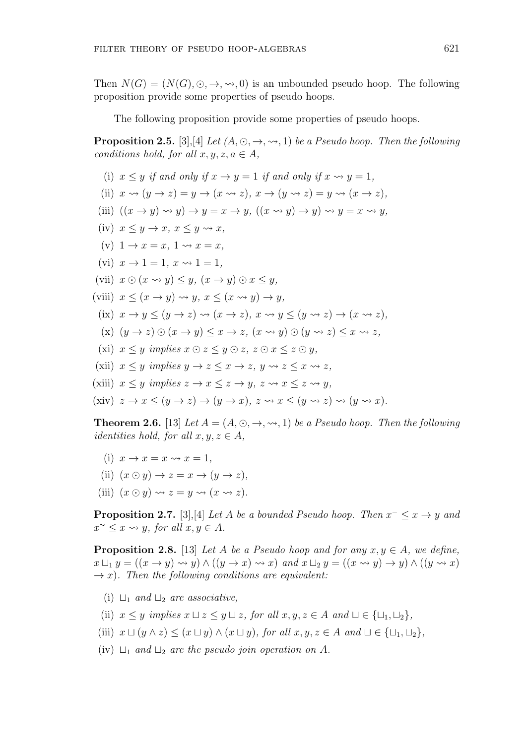Then  $N(G) = (N(G), \odot, \rightarrow, \rightsquigarrow, 0)$  is an unbounded pseudo hoop. The following proposition provide some properties of pseudo hoops.

The following proposition provide some properties of pseudo hoops.

**Proposition 2.5.** [3], [4] *Let*  $(A, \odot, \rightarrow, \rightsquigarrow, 1)$  *be a Pseudo hoop. Then the following conditions hold, for all*  $x, y, z, a \in A$ ,

(i) 
$$
x \le y
$$
 if and only if  $x \rightarrow y = 1$  if and only if  $x \rightarrow y = 1$ ,  
\n(ii)  $x \rightarrow (y \rightarrow z) = y \rightarrow (x \rightarrow z)$ ,  $x \rightarrow (y \rightarrow z) = y \rightarrow (x \rightarrow z)$ ,  
\n(iii)  $((x \rightarrow y) \rightarrow y) \rightarrow y = x \rightarrow y$ ,  $((x \rightarrow y) \rightarrow y) \rightarrow y = x \rightarrow y$ ,  
\n(iv)  $x \le y \rightarrow x$ ,  $x \le y \rightarrow x$ ,  
\n(v)  $1 \rightarrow x = x$ ,  $1 \rightarrow x = x$ ,  
\n(vi)  $x \rightarrow 1 = 1$ ,  $x \rightarrow 1 = 1$ ,  
\n(vii)  $x \odot (x \rightarrow y) \le y$ ,  $(x \rightarrow y) \odot x \le y$ ,  
\n(viii)  $x \le (x \rightarrow y) \rightarrow y$ ,  $x \le (x \rightarrow y) \rightarrow y$ ,  
\n(ix)  $x \rightarrow y \le (y \rightarrow z) \rightarrow (x \rightarrow z)$ ,  $x \rightarrow y \le (y \rightarrow z) \rightarrow (x \rightarrow z)$ ,  
\n(x)  $(y \rightarrow z) \odot (x \rightarrow y) \le x \rightarrow z$ ,  $(x \rightarrow y) \odot (y \rightarrow z) \le x \rightarrow z$ ,  
\n(xi)  $x \le y$  implies  $x \odot z \le y \odot z$ ,  $z \odot x \le z \odot y$ ,  
\n(xii)  $x \le y$  implies  $y \rightarrow z \le x \rightarrow z$ ,  $y \rightsquigarrow z \le x \rightarrow z$ ,  
\n(xiii)  $x \le y$  implies  $y \rightarrow z \le x \rightarrow y$ ,  $z \rightsquigarrow x \le z \rightarrow y$ ,  
\n(xiv)  $z \rightarrow x \le (y \rightarrow z) \rightarrow (y \rightarrow x)$ ,  $z \rightarrow x \le (y \rightarrow z) \rightarrow (y \rightarrow x)$ .

**Theorem 2.6.** [13] *Let*  $A = (A, \odot, \rightarrow, \rightsquigarrow, 1)$  *be a Pseudo hoop. Then the following identities hold, for all*  $x, y, z \in A$ ,

(i)  $x \to x = x \rightsquigarrow x = 1$ , (ii)  $(x \odot y) \rightarrow z = x \rightarrow (y \rightarrow z)$ , (iii)  $(x \odot y) \rightsquigarrow z = y \rightsquigarrow (x \rightsquigarrow z)$ .

**Proposition 2.7.** [3], [4] *Let A be a bounded Pseudo hoop. Then*  $x^- \leq x \rightarrow y$  *and*  $x^{\sim} \leq x \leftrightarrow y$ , for all  $x, y \in A$ .

**Proposition 2.8.** [13] *Let A be a Pseudo hoop and for any*  $x, y \in A$ *, we define,*  $x \sqcup_1 y = ((x \rightarrow y) \rightsquigarrow y) \land ((y \rightarrow x) \rightsquigarrow x)$  and  $x \sqcup_2 y = ((x \rightsquigarrow y) \rightarrow y) \land ((y \rightsquigarrow x)$  $\rightarrow x$ ). Then the following conditions are equivalent:

- (i) *⊔*<sup>1</sup> *and ⊔*<sup>2</sup> *are associative,*
- (ii)  $x \leq y$  *implies*  $x \sqcup z \leq y \sqcup z$ *, for all*  $x, y, z \in A$  *and*  $\sqcup \in {\sqcup_1, \sqcup_2},$
- (iii)  $x \sqcup (y \wedge z) \leq (x \sqcup y) \wedge (x \sqcup y)$ , for all  $x, y, z \in A$  and  $\sqcup \in {\sqcup_1, \sqcup_2},$
- (iv) *⊔*<sup>1</sup> *and ⊔*<sup>2</sup> *are the pseudo join operation on A.*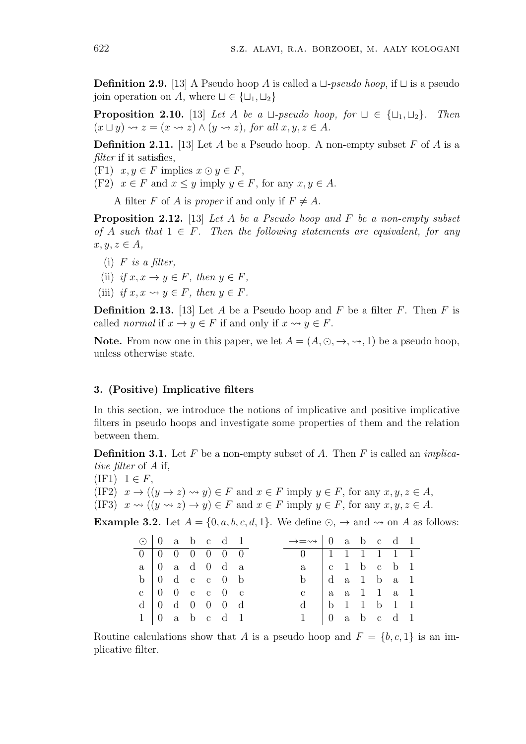**Definition 2.9.** [13] A Pseudo hoop *A* is called a *⊔-pseudo hoop*, if *⊔* is a pseudo join operation on *A*, where *⊔ ∈ {⊔*1*, ⊔*2*}*

**Proposition 2.10.** [13] *Let A be a*  $\sqcup$ -*pseudo hoop, for*  $\sqcup \in {\{\sqcup_1, \sqcup_2\}}$ *. Then*  $(x \sqcup y) \rightsquigarrow z = (x \rightsquigarrow z) \land (y \rightsquigarrow z)$ , for all  $x, y, z \in A$ .

**Definition 2.11.** [13] Let *A* be a Pseudo hoop. A non-empty subset *F* of *A* is a *filter* if it satisfies,

(F1)  $x, y \in F$  implies  $x \odot y \in F$ ,

(F2)  $x \in F$  and  $x \leq y$  imply  $y \in F$ , for any  $x, y \in A$ .

A filter *F* of *A* is *proper* if and only if  $F \neq A$ .

**Proposition 2.12.** [13] *Let A be a Pseudo hoop and F be a non-empty subset of A such that*  $1 \in F$ *. Then the following statements are equivalent, for any*  $x, y, z \in A$ 

- (i) *F is a filter,*
- (ii) *if*  $x, x \rightarrow y \in F$ *, then*  $y \in F$ *,*
- (iii) *if*  $x, x \rightsquigarrow y \in F$ , then  $y \in F$ .

**Definition 2.13.** [13] Let *A* be a Pseudo hoop and *F* be a filter *F*. Then *F* is called *normal* if  $x \to y \in F$  if and only if  $x \leadsto y \in F$ .

**Note.** From now one in this paper, we let  $A = (A, \odot, \rightarrow, \rightsquigarrow, 1)$  be a pseudo hoop, unless otherwise state.

## **3. (Positive) Implicative filters**

In this section, we introduce the notions of implicative and positive implicative filters in pseudo hoops and investigate some properties of them and the relation between them.

**Definition 3.1.** Let *F* be a non-empty subset of *A*. Then *F* is called an *implicative filter* of *A* if,

 $(IF1)$   $1 \in F$ ,

(IF2)  $x \to ((y \to z) \leadsto y) \in F$  and  $x \in F$  imply  $y \in F$ , for any  $x, y, z \in A$ ,

(IF3) 
$$
x \rightsquigarrow ((y \rightsquigarrow z) \rightarrow y) \in F
$$
 and  $x \in F$  imply  $y \in F$ , for any  $x, y, z \in A$ .

**Example 3.2.** Let  $A = \{0, a, b, c, d, 1\}$ . We define  $\odot$ ,  $\rightarrow$  and  $\rightsquigarrow$  on *A* as follows:

| $\odot$   0 a b c d 1                         |  |                                                         |  |  | $\rightarrow = \rightarrow   0$ a b c d 1     |  |  |  |
|-----------------------------------------------|--|---------------------------------------------------------|--|--|-----------------------------------------------|--|--|--|
|                                               |  | $0 \t 0 \t 0 \t 0 \t 0 \t 0 \t 0$                       |  |  | 0 1 1 1 1 1 1 1                               |  |  |  |
| $a \mid 0$ a d 0 d a                          |  |                                                         |  |  | $a \mid c \mid 1 \mid b \mid c \mid b \mid 1$ |  |  |  |
|                                               |  | $b \begin{bmatrix} 0 & d & c & c & 0 & b \end{bmatrix}$ |  |  | b d a 1 b a 1                                 |  |  |  |
|                                               |  | $c \t 0 \t 0 \t c \t 0 \t c$                            |  |  | c   a a 1 1 a 1                               |  |  |  |
| $d \mid 0 \mid d \mid 0 \mid 0 \mid 0 \mid d$ |  |                                                         |  |  | $d$   b 1 1 b 1 1                             |  |  |  |
|                                               |  | $1 \vert 0$ a b c d 1                                   |  |  | $1 \mid 0$ a b c d 1                          |  |  |  |

Routine calculations show that *A* is a pseudo hoop and  $F = \{b, c, 1\}$  is an implicative filter.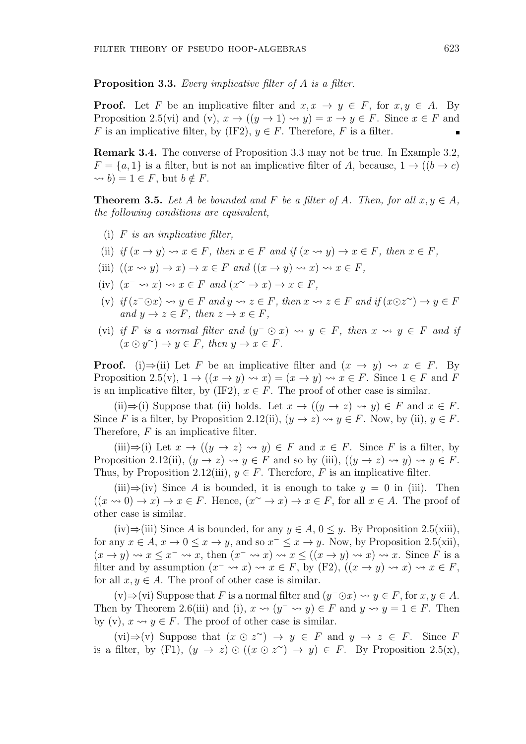**Proposition 3.3.** *Every implicative filter of A is a filter.*

**Proof.** Let F be an implicative filter and  $x, x \rightarrow y \in F$ , for  $x, y \in A$ . By Proposition 2.5(vi) and (v),  $x \to ((y \to 1) \leadsto y) = x \to y \in F$ . Since  $x \in F$  and *F* is an implicative filter, by (IF2),  $y \in F$ . Therefore, *F* is a filter.

**Remark 3.4.** The converse of Proposition 3.3 may not be true. In Example 3.2,  $F = \{a, 1\}$  is a filter, but is not an implicative filter of *A*, because,  $1 \rightarrow ((b \rightarrow c)$  $\rightarrow$  *b*) = 1  $\in$  *F*, but *b*  $\notin$  *F*.

**Theorem 3.5.** *Let A be bounded and F be a filter of A. Then, for all*  $x, y \in A$ *, the following conditions are equivalent,*

- (i) *F is an implicative filter,*
- (ii) if  $(x \to y) \rightsquigarrow x \in F$ , then  $x \in F$  and if  $(x \leadsto y) \to x \in F$ , then  $x \in F$ ,
- (iii)  $((x \rightsquigarrow y) \rightarrow x) \rightarrow x \in F$  and  $((x \rightarrow y) \rightsquigarrow x) \rightsquigarrow x \in F$ ,
- (iv)  $(x^- \leadsto x) \leadsto x \in F$  and  $(x^{\sim} \rightarrow x) \rightarrow x \in F$ ,
- (v) if  $(z^- \odot x) \leadsto y \in F$  and  $y \leadsto z \in F$ , then  $x \leadsto z \in F$  and if  $(x \odot z^{\sim}) \rightarrow y \in F$  $and y \rightarrow z \in F, then z \rightarrow x \in F,$
- $(vi)$  *if*  $F$  *is a normal filter and*  $(y^- \odot x) \rightsquigarrow y \in F$ *, then*  $x \rightsquigarrow y \in F$  *and if*  $(x \odot y^{\sim}) \rightarrow y \in F$ , then  $y \rightarrow x \in F$ .

**Proof.** (i) $\Rightarrow$ (ii) Let *F* be an implicative filter and  $(x \rightarrow y) \rightsquigarrow x \in F$ . By Proposition 2.5(v),  $1 \rightarrow ((x \rightarrow y) \rightsquigarrow x) = (x \rightarrow y) \rightsquigarrow x \in F$ . Since  $1 \in F$  and F is an implicative filter, by (IF2),  $x \in F$ . The proof of other case is similar.

(ii)  $\Rightarrow$  (i) Suppose that (ii) holds. Let  $x \to ((y \to z) \rightsquigarrow y) \in F$  and  $x \in F$ . Since *F* is a filter, by Proposition 2.12(ii),  $(y \to z) \rightsquigarrow y \in F$ . Now, by (ii),  $y \in F$ . Therefore, *F* is an implicative filter.

(iii) $\Rightarrow$ (i) Let  $x \rightarrow ((y \rightarrow z) \rightsquigarrow y) \in F$  and  $x \in F$ . Since *F* is a filter, by Proposition 2.12(ii),  $(y \to z) \leadsto y \in F$  and so by (iii),  $((y \to z) \leadsto y) \leadsto y \in F$ . Thus, by Proposition 2.12(iii),  $y \in F$ . Therefore, *F* is an implicative filter.

(iii) $\Rightarrow$ (iv) Since *A* is bounded, it is enough to take  $y = 0$  in (iii). Then  $((x \rightsquigarrow 0) \rightarrow x) \rightarrow x \in F$ . Hence,  $(x \sim \rightarrow x) \rightarrow x \in F$ , for all  $x \in A$ . The proof of other case is similar.

(iv)⇒(iii) Since *A* is bounded, for any  $y \in A$ ,  $0 \le y$ . By Proposition 2.5(xiii), for any  $x \in A$ ,  $x \to 0 \le x \to y$ , and so  $x^{-} \le x \to y$ . Now, by Proposition 2.5(xii),  $(x \to y) \leadsto x \leq x^- \leadsto x$ , then  $(x^- \leadsto x) \leadsto x \leq ((x \to y) \leadsto x) \leadsto x$ . Since *F* is a filter and by assumption  $(x^- \leadsto x) \leadsto x \in F$ , by  $(F2)$ ,  $((x \rightarrow y) \leadsto x) \leadsto x \in F$ , for all  $x, y \in A$ . The proof of other case is similar.

(v)⇒(vi) Suppose that *F* is a normal filter and  $(y^- \odot x) \rightsquigarrow y \in F$ , for  $x, y \in A$ . Then by Theorem 2.6(iii) and (i),  $x \rightsquigarrow (y^- \rightsquigarrow y) \in F$  and  $y \rightsquigarrow y = 1 \in F$ . Then by (v),  $x \rightsquigarrow y \in F$ . The proof of other case is similar.

 $(vi) \Rightarrow (v)$  Suppose that  $(x \in \infty z^{\sim}) \rightarrow y \in F$  and  $y \rightarrow z \in F$ . Since F is a filter, by (F1),  $(y \to z) \odot ((x \odot z^{\sim}) \to y) \in F$ . By Proposition 2.5(x),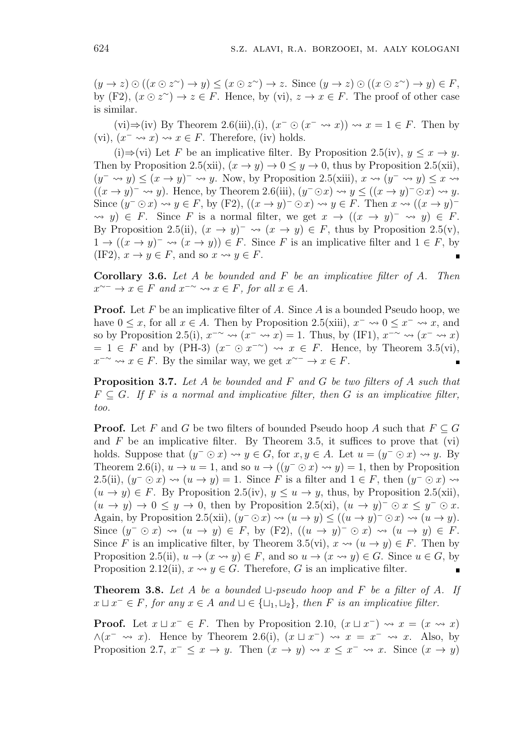$(y \to z) \odot ((x \odot z^{\sim}) \to y) \le (x \odot z^{\sim}) \to z$ . Since  $(y \to z) \odot ((x \odot z^{\sim}) \to y) \in F$ , by  $(F2)$ ,  $(x \odot z^{\sim}) \rightarrow z \in F$ . Hence, by  $(vi)$ ,  $z \rightarrow x \in F$ . The proof of other case is similar.

(vi)⇒(iv) By Theorem 2.6(iii),(i),  $(x^- \odot (x^- \leadsto x)) \leadsto x = 1 \in F$ . Then by (vi),  $(x^{-} \leadsto x) \leadsto x \in F$ . Therefore, (iv) holds.

(i)⇒(vi) Let *F* be an implicative filter. By Proposition 2.5(iv),  $y \leq x \to y$ . Then by Proposition 2.5(xii),  $(x \to y) \to 0 \le y \to 0$ , thus by Proposition 2.5(xii),  $(y^- \leadsto y)$  ≤  $(x \rightarrow y)^ \leadsto y$ . Now, by Proposition 2.5(xiii),  $x \leadsto (y^- \leadsto y)$  ≤  $x \leadsto$  $((x \rightarrow y)^{-} \rightsquigarrow y)$ . Hence, by Theorem 2.6(iii),  $(y^{-} \odot x) \rightsquigarrow y \le ((x \rightarrow y)^{-} \odot x) \rightsquigarrow y$ . Since  $(y^- \odot x) \rightsquigarrow y \in F$ , by  $(F2)$ ,  $((x \rightarrow y)^- \odot x) \rightsquigarrow y \in F$ . Then  $x \rightsquigarrow ((x \rightarrow y)^ \forall y$   $\in$  *F*. Since *F* is a normal filter, we get  $x \to ((x \to y)^- \rightsquigarrow y) \in$  *F*. By Proposition 2.5(ii),  $(x \to y)^{-} \leadsto (x \to y) \in F$ , thus by Proposition 2.5(v),  $1 \rightarrow ((x \rightarrow y)^{-} \rightsquigarrow (x \rightarrow y)) \in F$ . Since *F* is an implicative filter and  $1 \in F$ , by (IF2),  $x \to y \in F$ , and so  $x \leadsto y \in F$ .

**Corollary 3.6.** *Let A be bounded and F be an implicative filter of A. Then*  $x^{\sim-} \to x \in F$  and  $x^{-\sim} \leadsto x \in F$ , for all  $x \in A$ .

**Proof.** Let *F* be an implicative filter of *A*. Since *A* is a bounded Pseudo hoop, we have  $0 \leq x$ , for all  $x \in A$ . Then by Proposition 2.5(xiii),  $x^{-} \rightarrow 0 \leq x^{-} \rightarrow x$ , and so by Proposition 2.5(i),  $x^{-\sim} \leadsto (x^{-} \leadsto x) = 1$ . Thus, by (IF1),  $x^{-\sim} \leadsto (x^{-} \leadsto x)$  $= 1 \in F$  and by (PH-3)  $(x^- \odot x^{-2}) \rightsquigarrow x \in F$ . Hence, by Theorem 3.5(vi), *x*<sup>−∼</sup>  $\sim$  *x*  $\in$  *F*. By the similar way, we get  $x$ <sup>∼−</sup>  $\rightarrow$  *x*  $\in$  *F*.  $\blacksquare$ 

**Proposition 3.7.** *Let A be bounded and F and G be two filters of A such that*  $F \subseteq G$ . If *F* is a normal and implicative filter, then *G* is an implicative filter, *too.*

**Proof.** Let *F* and *G* be two filters of bounded Pseudo hoop *A* such that  $F \subseteq G$ and  $F$  be an implicative filter. By Theorem 3.5, it suffices to prove that (vi) holds. Suppose that  $(y^- \odot x) \leadsto y \in G$ , for  $x, y \in A$ . Let  $u = (y^- \odot x) \leadsto y$ . By Theorem 2.6(i),  $u \to u = 1$ , and so  $u \to ((y^- \odot x) \leadsto y) = 1$ , then by Proposition 2.5(ii),  $(y^- \odot x) \rightsquigarrow (u \rightarrow y) = 1$ . Since *F* is a filter and  $1 \in F$ , then  $(y^- \odot x) \rightsquigarrow$  $(u \rightarrow y) \in F$ . By Proposition 2.5(iv),  $y \leq u \rightarrow y$ , thus, by Proposition 2.5(xii),  $(u \rightarrow y) \rightarrow 0 \leq y \rightarrow 0$ , then by Proposition 2.5(xi),  $(u \rightarrow y)^{-} \odot x \leq y^{-} \odot x$ . Again, by Proposition 2.5(xii),  $(y^- \odot x) \rightsquigarrow (u \rightarrow y) \le ((u \rightarrow y)^- \odot x) \rightsquigarrow (u \rightarrow y)$ . Since  $(y^- \odot x) \rightsquigarrow (u \rightarrow y) \in F$ , by  $(F2)$ ,  $((u \rightarrow y)^- \odot x) \rightsquigarrow (u \rightarrow y) \in F$ . Since *F* is an implicative filter, by Theorem 3.5(vi),  $x \rightsquigarrow (u \rightarrow y) \in F$ . Then by Proposition 2.5(ii),  $u \to (x \leadsto y) \in F$ , and so  $u \to (x \leadsto y) \in G$ . Since  $u \in G$ , by Proposition 2.12(ii),  $x \rightsquigarrow y \in G$ . Therefore, *G* is an implicative filter.

**Theorem 3.8.** *Let A be a bounded ⊔-pseudo hoop and F be a filter of A. If*  $x \sqcup x^- \in F$ *, for any*  $x \in A$  *and*  $\sqcup \in {\{\sqcup_1, \sqcup_2\}}$ *, then F is an implicative filter.* 

**Proof.** Let  $x \sqcup x^- \in F$ . Then by Proposition 2.10,  $(x \sqcup x^-) \rightsquigarrow x = (x \rightsquigarrow x)$ *∧*(*x <sup>−</sup> x*). Hence by Theorem 2.6(i), (*x ⊔ x <sup>−</sup>*) *x* = *x <sup>−</sup> x*. Also, by Proposition 2.7,  $x^- \leq x \to y$ . Then  $(x \to y) \leadsto x \leq x^- \leadsto x$ . Since  $(x \to y)$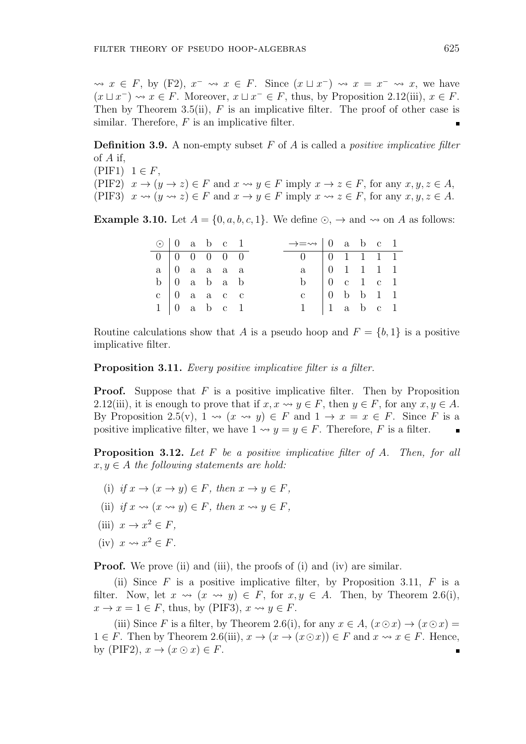$\rightsquigarrow$  *x* ∈ *F*, by (F2), *x*<sup>−</sup>  $\rightsquigarrow$  *x* ∈ *F*. Since  $(x \sqcup x^{-}) \rightsquigarrow x = x^{-} \rightsquigarrow x$ , we have  $(x \sqcup x^{-}) \rightsquigarrow x \in F$ . Moreover,  $x \sqcup x^{-} \in F$ , thus, by Proposition 2.12(iii),  $x \in F$ . Then by Theorem 3.5(ii), *F* is an implicative filter. The proof of other case is similar. Therefore, *F* is an implicative filter.

**Definition 3.9.** A non-empty subset *F* of *A* is called a *positive implicative filter* of *A* if,

 $(PIF1)$   $1 \in F$ , (PIF2)  $x \to (y \to z) \in F$  and  $x \leadsto y \in F$  imply  $x \to z \in F$ , for any  $x, y, z \in A$ , (PIF3)  $x \rightsquigarrow (y \rightsquigarrow z) \in F$  and  $x \rightarrow y \in F$  imply  $x \rightsquigarrow z \in F$ , for any  $x, y, z \in A$ .

**Example 3.10.** Let  $A = \{0, a, b, c, 1\}$ . We define  $\odot$ ,  $\rightarrow$  and  $\rightsquigarrow$  on *A* as follows:

| $\odot$   0 a b c 1                                 |  |                         |  | $\rightarrow \equiv \rightarrow \parallel 0$ a b c 1  |  |  |  |
|-----------------------------------------------------|--|-------------------------|--|-------------------------------------------------------|--|--|--|
| $0 \t 0 \t 0 \t 0 \t 0 \t 0$                        |  |                         |  | $0 \t 0 \t 1 \t 1 \t 1$                               |  |  |  |
| $a \mid 0$ a a a a                                  |  |                         |  | $a \mid 0 \quad 1 \quad 1 \quad 1 \quad 1$            |  |  |  |
| $b \begin{pmatrix} 0 & a & b & a & b \end{pmatrix}$ |  |                         |  | b $\begin{array}{c cc} 0 & c & 1 & c & 1 \end{array}$ |  |  |  |
|                                                     |  | $c \parallel 0$ a a c c |  |                                                       |  |  |  |
| $1 \vert 0$ a b c 1                                 |  |                         |  | $1 \mid 1 \text{ a b c } 1$                           |  |  |  |

Routine calculations show that *A* is a pseudo hoop and  $F = \{b, 1\}$  is a positive implicative filter.

**Proposition 3.11.** *Every positive implicative filter is a filter.*

**Proof.** Suppose that *F* is a positive implicative filter. Then by Proposition 2.12(iii), it is enough to prove that if  $x, x \rightsquigarrow y \in F$ , then  $y \in F$ , for any  $x, y \in A$ . By Proposition 2.5(v),  $1 \rightsquigarrow (x \rightsquigarrow y) \in F$  and  $1 \rightarrow x = x \in F$ . Since *F* is a positive implicative filter, we have  $1 \rightsquigarrow y = y \in F$ . Therefore, *F* is a filter.

**Proposition 3.12.** *Let F be a positive implicative filter of A. Then, for all*  $x, y \in A$  *the following statements are hold:* 

- (i) *if*  $x \to (x \to y) \in F$ , then  $x \to y \in F$ .
- (ii) *if*  $x \rightsquigarrow (x \rightsquigarrow y) \in F$ , then  $x \rightsquigarrow y \in F$ ,
- (iii)  $x \to x^2 \in F$ ,
- (iv)  $x \rightsquigarrow x^2 \in F$ .

**Proof.** We prove (ii) and (iii), the proofs of (i) and (iv) are similar.

(ii) Since *F* is a positive implicative filter, by Proposition 3.11, *F* is a filter. Now, let  $x \rightsquigarrow (x \rightsquigarrow y) \in F$ , for  $x, y \in A$ . Then, by Theorem 2.6(i),  $x \to x = 1 \in F$ , thus, by (PIF3),  $x \rightsquigarrow y \in F$ .

(iii) Since *F* is a filter, by Theorem 2.6(i), for any  $x \in A$ ,  $(x \odot x) \rightarrow (x \odot x) =$ 1  $∈$  *F*. Then by Theorem 2.6(iii),  $x \to (x \oplus x)) ∈ F$  and  $x \rightsquigarrow x ∈ F$ . Hence, by (PIF2),  $x \to (x \odot x) \in F$ .  $\blacksquare$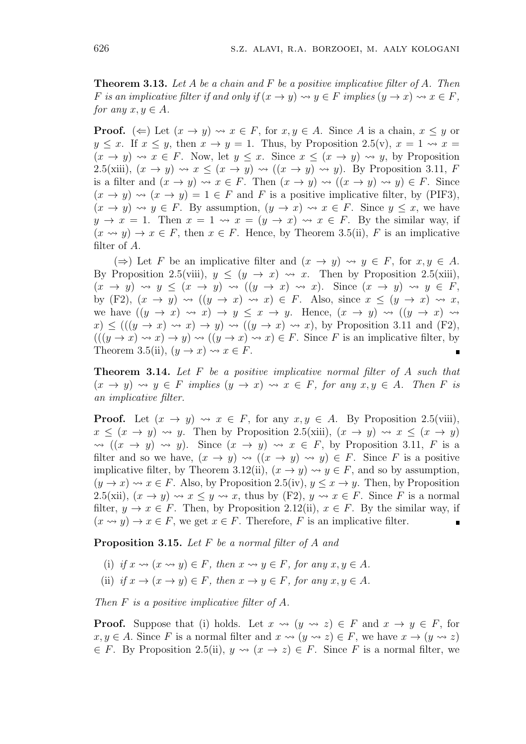**Theorem 3.13.** *Let A be a chain and F be a positive implicative filter of A. Then F* is an implicative filter if and only if  $(x \to y) \leadsto y \in F$  implies  $(y \to x) \leadsto x \in F$ , *for any*  $x, y \in A$ *.* 

**Proof.**  $(\Leftarrow)$  Let  $(x \to y) \leadsto x \in F$ , for  $x, y \in A$ . Since A is a chain,  $x \leq y$  or  $y \leq x$ . If  $x \leq y$ , then  $x \to y = 1$ . Thus, by Proposition 2.5(v),  $x = 1 \leftrightarrow x =$  $(x \rightarrow y) \rightsquigarrow x \in F$ . Now, let  $y \leq x$ . Since  $x \leq (x \rightarrow y) \rightsquigarrow y$ , by Proposition 2.5(xiii),  $(x \to y) \leadsto x \leq (x \to y) \leadsto ((x \to y) \leadsto y)$ . By Proposition 3.11, *F* is a filter and  $(x \to y) \leadsto x \in F$ . Then  $(x \to y) \leadsto ((x \to y) \leadsto y) \in F$ . Since  $(x \to y) \leadsto (x \to y) = 1 \in F$  and F is a positive implicative filter, by (PIF3),  $(x \to y) \leadsto y \in F$ . By assumption,  $(y \to x) \leadsto x \in F$ . Since  $y \leq x$ , we have  $y \to x = 1$ . Then  $x = 1 \leftrightarrow x = (y \to x) \leftrightarrow x \in F$ . By the similar way, if  $(x \rightsquigarrow y) \rightarrow x \in F$ , then  $x \in F$ . Hence, by Theorem 3.5(ii), F is an implicative filter of *A*.

( $\Rightarrow$ ) Let *F* be an implicative filter and  $(x \rightarrow y) \rightsquigarrow y \in F$ , for *x*, *y* ∈ *A*. By Proposition 2.5(viii),  $y \leq (y \to x) \leadsto x$ . Then by Proposition 2.5(xiii),  $(x \rightarrow y) \rightsquigarrow y \leq (x \rightarrow y) \rightsquigarrow ((y \rightarrow x) \rightsquigarrow x)$ . Since  $(x \rightarrow y) \rightsquigarrow y \in F$ , by (F2),  $(x \rightarrow y) \rightsquigarrow ((y \rightarrow x) \rightsquigarrow x) \in F$ . Also, since  $x \leq (y \rightarrow x) \rightsquigarrow x$ , we have  $((y \rightarrow x) \rightsquigarrow x) \rightarrow y \leq x \rightarrow y$ . Hence,  $(x \rightarrow y) \rightsquigarrow ((y \rightarrow x) \rightsquigarrow y)$  $f(x) \leq ((y \rightarrow x) \rightsquigarrow x) \rightarrow y) \rightsquigarrow ((y \rightarrow x) \rightsquigarrow x)$ , by Proposition 3.11 and (F2),  $(((y \rightarrow x) \rightsquigarrow x) \rightarrow y) \rightsquigarrow ((y \rightarrow x) \rightsquigarrow x) \in F$ . Since *F* is an implicative filter, by Theorem 3.5(ii),  $(y \to x) \rightsquigarrow x \in F$ .

**Theorem 3.14.** *Let F be a positive implicative normal filter of A such that*  $(x \rightarrow y) \rightsquigarrow y \in F$  *implies*  $(y \rightarrow x) \rightsquigarrow x \in F$ , for any  $x, y \in A$ . Then F is *an implicative filter.*

**Proof.** Let  $(x \to y) \leadsto x \in F$ , for any  $x, y \in A$ . By Proposition 2.5(viii),  $x \leq (x \to y) \leadsto y$ . Then by Proposition 2.5(xiii),  $(x \to y) \leadsto x \leq (x \to y)$  $\rightsquigarrow$   $((x \rightarrow y) \rightsquigarrow y)$ . Since  $(x \rightarrow y) \rightsquigarrow x \in F$ , by Proposition 3.11, *F* is a filter and so we have,  $(x \to y) \leadsto ((x \to y) \leadsto y) \in F$ . Since F is a positive implicative filter, by Theorem 3.12(ii),  $(x \to y) \leadsto y \in F$ , and so by assumption,  $(y \to x) \rightsquigarrow x \in F$ . Also, by Proposition 2.5(iv),  $y \leq x \to y$ . Then, by Proposition 2.5(xii),  $(x \to y) \leadsto x \leq y \leadsto x$ , thus by  $(F2)$ ,  $y \leadsto x \in F$ . Since *F* is a normal filter,  $y \to x \in F$ . Then, by Proposition 2.12(ii),  $x \in F$ . By the similar way, if  $(x \rightsquigarrow y) \rightarrow x \in F$ , we get  $x \in F$ . Therefore, *F* is an implicative filter.

**Proposition 3.15.** *Let F be a normal filter of A and*

- (i) if  $x \rightsquigarrow (x \rightsquigarrow y) \in F$ , then  $x \rightsquigarrow y \in F$ , for any  $x, y \in A$ .
- (ii) *if*  $x \to (x \to y) \in F$ *, then*  $x \to y \in F$ *, for any*  $x, y \in A$ *.*

*Then F is a positive implicative filter of A.*

**Proof.** Suppose that (i) holds. Let  $x \rightsquigarrow (y \rightsquigarrow z) \in F$  and  $x \rightarrow y \in F$ , for  $x, y \in A$ . Since *F* is a normal filter and  $x \rightsquigarrow (y \rightsquigarrow z) \in F$ , we have  $x \rightarrow (y \rightsquigarrow z)$  $∈$  *F*. By Proposition 2.5(ii),  $y \rightsquigarrow (x \rightarrow z) ∈ F$ . Since *F* is a normal filter, we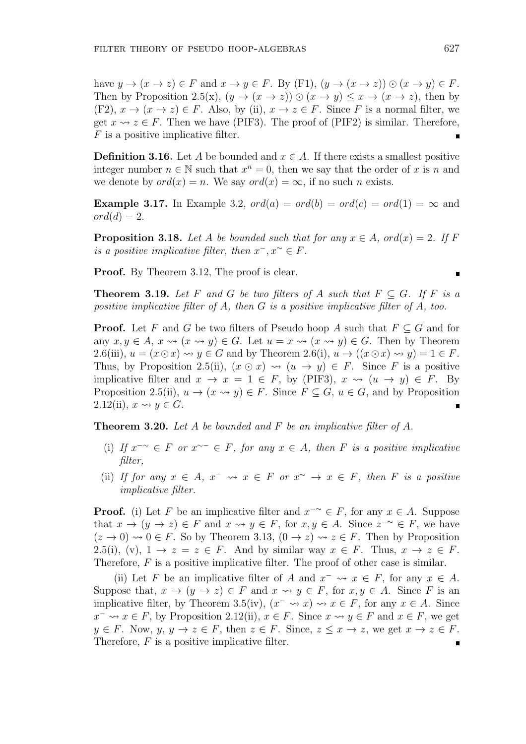have  $y \to (x \to z) \in F$  and  $x \to y \in F$ . By (F1),  $(y \to (x \to z)) \odot (x \to y) \in F$ . Then by Proposition 2.5(x),  $(y \to (x \to z)) \odot (x \to y) \leq x \to (x \to z)$ , then by (F2),  $x \to (x \to z) \in F$ . Also, by (ii),  $x \to z \in F$ . Since *F* is a normal filter, we get  $x \leftrightarrow z \in F$ . Then we have (PIF3). The proof of (PIF2) is similar. Therefore, *F* is a positive implicative filter.

**Definition 3.16.** Let *A* be bounded and  $x \in A$ . If there exists a smallest positive integer number  $n \in \mathbb{N}$  such that  $x^n = 0$ , then we say that the order of *x* is *n* and we denote by  $ord(x) = n$ . We say  $ord(x) = \infty$ , if no such *n* exists.

**Example 3.17.** In Example 3.2,  $ord(a) = ord(b) = ord(c) = ord(1) = \infty$  and  $ord(d) = 2.$ 

**Proposition 3.18.** *Let A be bounded such that for any*  $x \in A$ *, ord* $(x) = 2$ *. If F is a positive implicative filter, then*  $x^-, x^{\sim} \in F$ *.* 

**Proof.** By Theorem 3.12, The proof is clear.

**Theorem 3.19.** Let F and G be two filters of A such that  $F \subseteq G$ . If F is a *positive implicative filter of A, then G is a positive implicative filter of A, too.*

**Proof.** Let *F* and *G* be two filters of Pseudo hoop *A* such that  $F \subseteq G$  and for any  $x, y \in A$ ,  $x \rightsquigarrow (x \rightsquigarrow y) \in G$ . Let  $u = x \rightsquigarrow (x \rightsquigarrow y) \in G$ . Then by Theorem 2.6(iii),  $u = (x \odot x) \leadsto y \in G$  and by Theorem 2.6(i),  $u \rightarrow ((x \odot x) \leadsto y) = 1 \in F$ . Thus, by Proposition 2.5(ii),  $(x \odot x) \rightsquigarrow (u \rightarrow y) \in F$ . Since *F* is a positive implicative filter and  $x \to x = 1 \in F$ , by (PIF3),  $x \leadsto (u \to y) \in F$ . By Proposition 2.5(ii),  $u \to (x \leadsto y) \in F$ . Since  $F \subseteq G$ ,  $u \in G$ , and by Proposition 2.12(ii),  $x \rightsquigarrow y \in G$ .

**Theorem 3.20.** *Let A be bounded and F be an implicative filter of A.*

- (i) *If x −∼ ∈ F or x ∼− ∈ F, for any x ∈ A, then F is a positive implicative filter,*
- (ii) If for any  $x \in A$ ,  $x^- \leadsto x \in F$  or  $x^{\sim} \rightarrow x \in F$ , then F is a positive *implicative filter.*

**Proof.** (i) Let *F* be an implicative filter and  $x^{-\sim} \in F$ , for any  $x \in A$ . Suppose that  $x \to (y \to z) \in F$  and  $x \leadsto y \in F$ , for  $x, y \in A$ . Since  $z^{-\sim} \in F$ , we have  $(z \to 0) \rightsquigarrow 0 \in F$ . So by Theorem 3.13,  $(0 \to z) \rightsquigarrow z \in F$ . Then by Proposition 2.5(i), (v),  $1 \rightarrow z = z \in F$ . And by similar way  $x \in F$ . Thus,  $x \rightarrow z \in F$ . Therefore, F is a positive implicative filter. The proof of other case is similar.

(ii) Let *F* be an implicative filter of *A* and  $x^- \leadsto x \in F$ , for any  $x \in A$ . Suppose that,  $x \to (y \to z) \in F$  and  $x \leadsto y \in F$ , for  $x, y \in A$ . Since F is an implicative filter, by Theorem 3.5(iv),  $(x^{-} \leadsto x) \leadsto x \in F$ , for any  $x \in A$ . Since *x*<sup>−</sup>  $\sim$  *x*  $\in$  *F*, by Proposition 2.12(ii), *x*  $\in$  *F*. Since *x*  $\sim$  *y*  $\in$  *F* and *x*  $\in$  *F*, we get  $y \in F$ . Now,  $y, y \to z \in F$ , then  $z \in F$ . Since,  $z \leq x \to z$ , we get  $x \to z \in F$ . Therefore, *F* is a positive implicative filter.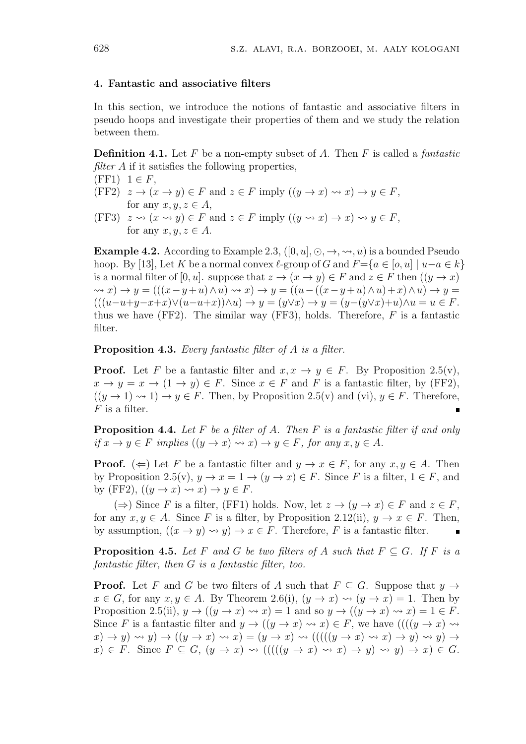#### **4. Fantastic and associative filters**

In this section, we introduce the notions of fantastic and associative filters in pseudo hoops and investigate their properties of them and we study the relation between them.

**Definition 4.1.** Let *F* be a non-empty subset of *A*. Then *F* is called a *fantastic filter A* if it satisfies the following properties,

 $(FF1)$   $1 \in F$ ,

- (FF2)  $z \to (x \to y) \in F$  and  $z \in F$  imply  $((y \to x) \rightsquigarrow x) \to y \in F$ , for any  $x, y, z \in A$ ,
- (FF3)  $z \rightsquigarrow (x \rightsquigarrow y) \in F$  and  $z \in F$  imply  $((y \rightsquigarrow x) \rightarrow x) \rightsquigarrow y \in F$ , for any  $x, y, z \in A$ .

**Example 4.2.** According to Example 2.3,  $([0, u], \odot, \rightarrow, \rightsquigarrow, u)$  is a bounded Pseudo hoop. By [13], Let *K* be a normal convex  $\ell$ -group of *G* and  $F=\{a \in [o, u] \mid u-a \in k\}$ is a normal filter of  $[0, u]$ . suppose that  $z \to (x \to y) \in F$  and  $z \in F$  then  $((y \to x)$  $\rightarrow$   $x) \rightarrow y = (((x - y + u) \wedge u) \rightarrow x) \rightarrow y = ((u - ((x - y + u) \wedge u) + x) \wedge u) \rightarrow y =$  $(((u-u+y-x+x)\vee(u-u+x))\wedge u)\rightarrow y=(y\vee x)\rightarrow y=(y-(y\vee x)+u)\wedge u=u\in F.$ thus we have (FF2). The similar way (FF3), holds. Therefore, *F* is a fantastic filter.

**Proposition 4.3.** *Every fantastic filter of A is a filter.*

**Proof.** Let *F* be a fantastic filter and  $x, x \rightarrow y \in F$ . By Proposition 2.5(v),  $x \to y = x \to (1 \to y) \in F$ . Since  $x \in F$  and *F* is a fantastic filter, by (FF2),  $((y \rightarrow 1) \rightsquigarrow 1) \rightarrow y \in F$ . Then, by Proposition 2.5(v) and (vi),  $y \in F$ . Therefore, *F* is a filter.

**Proposition 4.4.** *Let F be a filter of A. Then F is a fantastic filter if and only*  $if x \rightarrow y \in F$  *implies*  $((y \rightarrow x) \rightsquigarrow x) \rightarrow y \in F$ , for any  $x, y \in A$ .

**Proof.** ( $\Leftarrow$ ) Let *F* be a fantastic filter and  $y \to x \in F$ , for any  $x, y \in A$ . Then by Proposition 2.5(v),  $y \to x = 1 \to (y \to x) \in F$ . Since *F* is a filter,  $1 \in F$ , and by (FF2),  $((y \rightarrow x) \rightsquigarrow x) \rightarrow y \in F$ .

( $\Rightarrow$ ) Since *F* is a filter, (FF1) holds. Now, let *z* → ( $y \rightarrow x$ ) ∈ *F* and *z* ∈ *F*, for any  $x, y \in A$ . Since *F* is a filter, by Proposition 2.12(ii),  $y \to x \in F$ . Then, by assumption,  $((x \rightarrow y) \rightsquigarrow y) \rightarrow x \in F$ . Therefore, *F* is a fantastic filter.

**Proposition 4.5.** *Let F* and *G be two filters of A such that*  $F \subseteq G$ *. If F is a fantastic filter, then G is a fantastic filter, too.*

**Proof.** Let *F* and *G* be two filters of *A* such that  $F \subseteq G$ . Suppose that  $y \to y$  $x \in G$ , for any  $x, y \in A$ . By Theorem 2.6(i),  $(y \to x) \rightsquigarrow (y \to x) = 1$ . Then by Proposition 2.5(ii),  $y \rightarrow ((y \rightarrow x) \rightsquigarrow x) = 1$  and so  $y \rightarrow ((y \rightarrow x) \rightsquigarrow x) = 1 \in F$ . Since *F* is a fantastic filter and  $y \to ((y \to x) \leadsto x) \in F$ , we have  $(((y \to x) \leadsto x) \leftrightarrow (y \to x) \leftrightarrow (y \to x) \leftrightarrow (y \to x) \leftrightarrow (y \to x) \leftrightarrow (y \to x) \leftrightarrow (y \to x) \leftrightarrow (y \to x) \leftrightarrow (y \to x) \leftrightarrow (y \to x) \leftrightarrow (y \to x) \leftrightarrow (y \to x) \leftrightarrow (y \to x) \leftrightarrow (y \to x) \leftrightarrow (y \to x) \leftrightarrow (y \to x) \leftrightarrow (y \to x) \leftrightarrow (y \to x) \leftrightarrow (y \to x)$  $f(x) \rightarrow y$   $\rightarrow$   $g(x) \rightarrow f(y \rightarrow x) \rightarrow f(y \rightarrow x) \rightarrow f((f(y \rightarrow x) \rightarrow x) \rightarrow y) \rightarrow f(y \rightarrow x) \rightarrow f(y \rightarrow x) \rightarrow f(y \rightarrow x) \rightarrow f(y \rightarrow x) \rightarrow f(y \rightarrow x) \rightarrow f(y \rightarrow x) \rightarrow f(y \rightarrow x) \rightarrow f(y \rightarrow x) \rightarrow f(y \rightarrow x) \rightarrow f(y \rightarrow x) \rightarrow f(y \rightarrow x) \rightarrow f(y \rightarrow x) \rightarrow f(y \rightarrow x) \rightarrow f(y \rightarrow x) \rightarrow f(y \rightarrow x) \rightarrow f(y \rightarrow x) \rightarrow f(y \rightarrow x) \rightarrow f(y \rightarrow x) \rightarrow f(y \rightarrow x) \rightarrow f(y \rightarrow x) \rightarrow f(y \rightarrow x) \$  $f(x) \in F$ . Since  $F \subseteq G$ ,  $(y \to x) \rightsquigarrow ((((y \to x) \rightsquigarrow x) \to y) \rightsquigarrow y) \to x) \in G$ .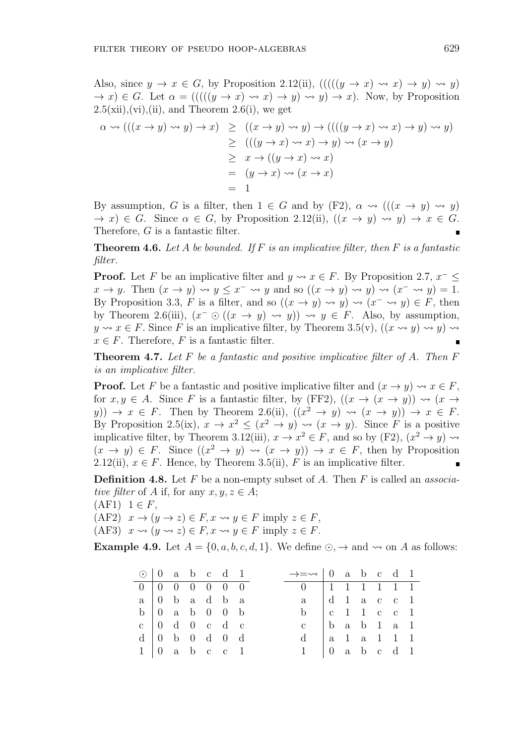Also, since  $y \to x \in G$ , by Proposition 2.12(ii),  $((( (y \to x) \rightsquigarrow x) \to y) \rightsquigarrow y)$  $\rightarrow$  *x*)  $\in$  *G*. Let  $\alpha$  = ((((( $y \rightarrow x$ )  $\rightarrow$  *x*)  $\rightarrow$  *y*)  $\rightarrow$  *y*)  $\rightarrow$  *x*). Now, by Proposition  $2.5(xii), (vi), (ii),$  and Theorem  $2.6(i)$ , we get

$$
\alpha \rightsquigarrow (((x \rightarrow y) \rightsquigarrow y) \rightarrow x) \ge ((x \rightarrow y) \rightsquigarrow y) \rightarrow (((y \rightarrow x) \rightsquigarrow x) \rightarrow y) \rightsquigarrow y)
$$
  
\n
$$
\ge ((y \rightarrow x) \rightsquigarrow x) \rightarrow y) \rightsquigarrow (x \rightarrow y)
$$
  
\n
$$
\ge x \rightarrow ((y \rightarrow x) \rightsquigarrow x)
$$
  
\n
$$
= (y \rightarrow x) \rightsquigarrow (x \rightarrow x)
$$
  
\n
$$
= 1
$$

By assumption, *G* is a filter, then  $1 \in G$  and by  $(F2)$ ,  $\alpha \rightsquigarrow ((x \rightarrow y) \rightsquigarrow y)$  $\rightarrow$  *x*)  $\in$  *G*. Since  $\alpha \in G$ , by Proposition 2.12(ii),  $((x \rightarrow y) \rightsquigarrow y) \rightarrow x \in G$ . Therefore, *G* is a fantastic filter.

**Theorem 4.6.** *Let A be bounded. If F is an implicative filter, then F is a fantastic filter.*

**Proof.** Let *F* be an implicative filter and  $y \rightsquigarrow x \in F$ . By Proposition 2.7,  $x^- \leq$  $x \to y$ . Then  $(x \to y) \leadsto y \leq x^- \leadsto y$  and so  $((x \to y) \leadsto y) \leadsto (x^- \leadsto y) = 1$ . By Proposition 3.3, *F* is a filter, and so  $((x \rightarrow y) \rightsquigarrow y) \rightsquigarrow (x^{-} \rightsquigarrow y) \in F$ , then by Theorem 2.6(iii),  $(x^- \odot ((x \rightarrow y) \rightsquigarrow y)) \rightsquigarrow y \in F$ . Also, by assumption, *y*  $\sim$  *x* ∈ *F*. Since *F* is an implicative filter, by Theorem 3.5(v),  $((x \rightsquigarrow y) \rightsquigarrow y)$   $\rightsquigarrow$  $x \in F$ . Therefore, *F* is a fantastic filter.

**Theorem 4.7.** *Let F be a fantastic and positive implicative filter of A. Then F is an implicative filter.*

**Proof.** Let *F* be a fantastic and positive implicative filter and  $(x \rightarrow y) \rightsquigarrow x \in F$ , for  $x, y \in A$ . Since *F* is a fantastic filter, by (FF2),  $((x \rightarrow (x \rightarrow y)) \rightsquigarrow (x \rightarrow$  $y$ ))  $\rightarrow$  *x*  $\in$  *F*. Then by Theorem 2.6(ii),  $((x^2 \rightarrow y) \rightsquigarrow (x \rightarrow y)) \rightarrow x \in$  *F*. By Proposition 2.5(ix),  $x \to x^2 \leq (x^2 \to y) \leadsto (x \to y)$ . Since *F* is a positive implicative filter, by Theorem 3.12(iii),  $x \to x^2 \in F$ , and so by (F2),  $(x^2 \to y) \rightsquigarrow$  $(x \to y) \in F$ . Since  $((x^2 \to y) \leadsto (x \to y)) \to x \in F$ , then by Proposition 2.12(ii),  $x \in F$ . Hence, by Theorem 3.5(ii), F is an implicative filter.

**Definition 4.8.** Let *F* be a non-empty subset of *A*. Then *F* is called an *associative filter* of *A* if, for any  $x, y, z \in A$ ;

 $(AF1)$  1 ∈ *F*,  $(AF2)$   $x \to (y \to z) \in F$ ,  $x \rightsquigarrow y \in F$  imply  $z \in F$ , (AF3)  $x \rightsquigarrow (y \rightsquigarrow z) \in F$ ,  $x \rightsquigarrow y \in F$  imply  $z \in F$ .

**Example 4.9.** Let  $A = \{0, a, b, c, d, 1\}$ . We define  $\odot$ ,  $\rightarrow$  and  $\rightsquigarrow$  on *A* as follows:

| $\odot$   0 a b c d 1 |  |                                                         |  |  | $\rightarrow \rightarrow \rightarrow 0$ a b c d 1 |  |  |  |
|-----------------------|--|---------------------------------------------------------|--|--|---------------------------------------------------|--|--|--|
|                       |  | $0 \t 0 \t 0 \t 0 \t 0 \t 0 \t 0$                       |  |  | 0 1 1 1 1 1 1 1                                   |  |  |  |
| $a \mid 0$ b a d b a  |  |                                                         |  |  | $a \mid d \mid 1 \text{ a c c l}$                 |  |  |  |
|                       |  | $b \begin{pmatrix} 0 & a & b & 0 & 0 & b \end{pmatrix}$ |  |  | b $ c  1 1 c c 1$                                 |  |  |  |
|                       |  | $c \begin{bmatrix} 0 & d & 0 & c & d & c \end{bmatrix}$ |  |  | c   b a b 1 a 1                                   |  |  |  |
|                       |  | $d \mid 0$ b 0 d 0 d                                    |  |  | $d$   a 1 a 1 1 1                                 |  |  |  |
|                       |  | $1 \vert 0$ a b c c 1                                   |  |  | $1 \t 0$ a b c d 1                                |  |  |  |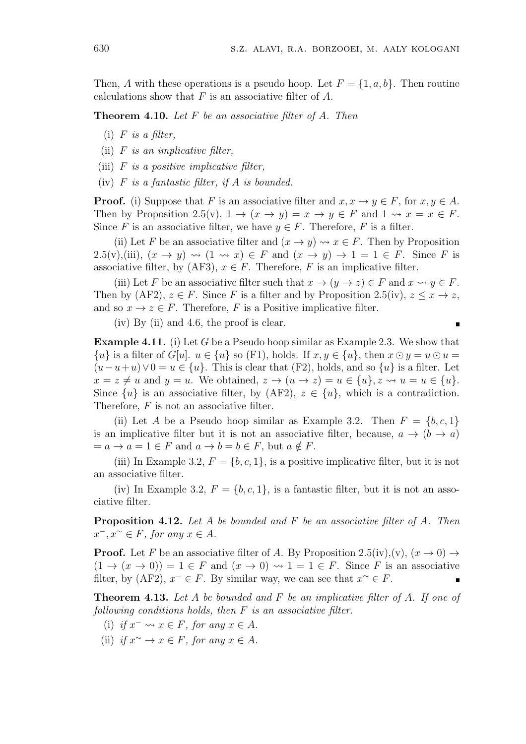$\blacksquare$ 

Then, *A* with these operations is a pseudo hoop. Let  $F = \{1, a, b\}$ . Then routine calculations show that *F* is an associative filter of *A*.

**Theorem 4.10.** *Let F be an associative filter of A. Then*

- (i) *F is a filter,*
- (ii) *F is an implicative filter,*
- (iii) *F is a positive implicative filter,*
- (iv) *F is a fantastic filter, if A is bounded.*

**Proof.** (i) Suppose that *F* is an associative filter and  $x, x \to y \in F$ , for  $x, y \in A$ . Then by Proposition 2.5(v),  $1 \rightarrow (x \rightarrow y) = x \rightarrow y \in F$  and  $1 \rightsquigarrow x = x \in F$ . Since *F* is an associative filter, we have  $y \in F$ . Therefore, *F* is a filter.

(ii) Let *F* be an associative filter and  $(x \to y) \leadsto x \in F$ . Then by Proposition 2.5(v),(iii),  $(x \rightarrow y) \rightsquigarrow (1 \rightsquigarrow x) \in F$  and  $(x \rightarrow y) \rightarrow 1 = 1 \in F$ . Since *F* is associative filter, by (AF3),  $x \in F$ . Therefore, *F* is an implicative filter.

(iii) Let *F* be an associative filter such that  $x \to (y \to z) \in F$  and  $x \leadsto y \in F$ . Then by  $(AF2)$ ,  $z \in F$ . Since *F* is a filter and by Proposition 2.5(iv),  $z \leq x \rightarrow z$ , and so  $x \to z \in F$ . Therefore, F is a Positive implicative filter.

(iv) By (ii) and 4.6, the proof is clear.

**Example 4.11.** (i) Let *G* be a Pseudo hoop similar as Example 2.3. We show that  $\{u\}$  is a filter of *G*[*u*].  $u \in \{u\}$  so (F1), holds. If  $x, y \in \{u\}$ , then  $x \odot y = u \odot u =$  $(u-u+u) \vee 0 = u \in \{u\}$ . This is clear that (F2), holds, and so  $\{u\}$  is a filter. Let  $x = z \neq u$  and  $y = u$ . We obtained,  $z \rightarrow (u \rightarrow z) = u \in \{u\}$ ,  $z \rightsquigarrow u = u \in \{u\}$ . Since  $\{u\}$  is an associative filter, by  $(AF2)$ ,  $z \in \{u\}$ , which is a contradiction. Therefore, *F* is not an associative filter.

(ii) Let *A* be a Pseudo hoop similar as Example 3.2. Then  $F = \{b, c, 1\}$ is an implicative filter but it is not an associative filter, because,  $a \rightarrow (b \rightarrow a)$  $= a \rightarrow a = 1 \in F$  and  $a \rightarrow b = b \in F$ , but  $a \notin F$ .

(iii) In Example 3.2,  $F = \{b, c, 1\}$ , is a positive implicative filter, but it is not an associative filter.

(iv) In Example 3.2,  $F = \{b, c, 1\}$ , is a fantastic filter, but it is not an associative filter.

**Proposition 4.12.** *Let A be bounded and F be an associative filter of A. Then*  $x^-, x^{\sim} \in F$ , for any  $x \in A$ .

**Proof.** Let *F* be an associative filter of *A*. By Proposition 2.5(iv),(v),  $(x \to 0) \to$  $(1 \rightarrow (x \rightarrow 0)) = 1 \in F$  and  $(x \rightarrow 0) \rightsquigarrow 1 = 1 \in F$ . Since *F* is an associative filter, by  $(AF2)$ ,  $x^- \in F$ . By similar way, we can see that  $x^{\sim} \in F$ .

**Theorem 4.13.** *Let A be bounded and F be an implicative filter of A. If one of following conditions holds, then F is an associative filter.*

- (i) *if*  $x^-$  *∞*  $x \in F$ *, for any*  $x \in A$ *.*
- (ii) *if*  $x^{\sim} \to x \in F$ *, for any*  $x \in A$ *.*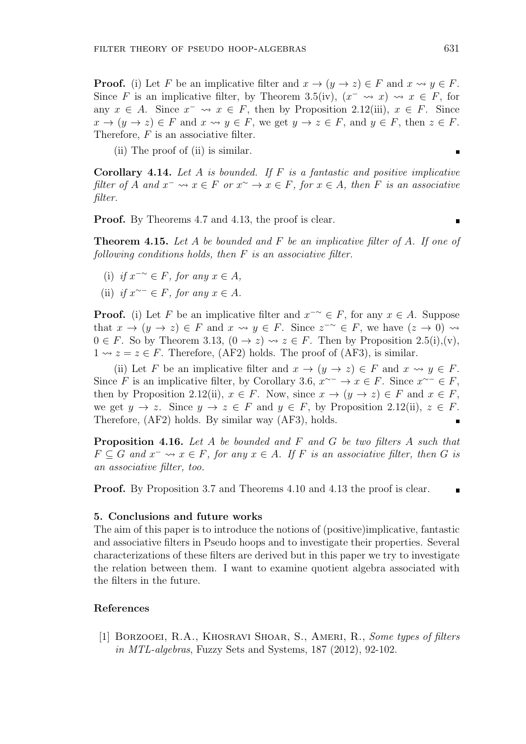**Proof.** (i) Let *F* be an implicative filter and  $x \to (y \to z) \in F$  and  $x \leadsto y \in F$ . Since *F* is an implicative filter, by Theorem 3.5(iv),  $(x^{-} \leadsto x) \leadsto x \in F$ , for any  $x \in A$ . Since  $x^- \leadsto x \in F$ , then by Proposition 2.12(iii),  $x \in F$ . Since  $x \to (y \to z) \in F$  and  $x \leadsto y \in F$ , we get  $y \to z \in F$ , and  $y \in F$ , then  $z \in F$ . Therefore, *F* is an associative filter.

(ii) The proof of (ii) is similar.

**Corollary 4.14.** *Let A is bounded. If F is a fantastic and positive implicative* filter of A and  $x^- \leadsto x \in F$  or  $x^{\sim} \rightarrow x \in F$ , for  $x \in A$ , then F is an associative *filter.*

**Proof.** By Theorems 4.7 and 4.13, the proof is clear.

**Theorem 4.15.** *Let A be bounded and F be an implicative filter of A. If one of following conditions holds, then F is an associative filter.*

- (i) *if x −∼ ∈ F, for any x ∈ A,*
- $(iii)$  *if*  $x^{\sim-}$  ∈ *F, for any*  $x \in A$ *.*

**Proof.** (i) Let *F* be an implicative filter and  $x^{-\sim} \in F$ , for any  $x \in A$ . Suppose that  $x \to (y \to z) \in F$  and  $x \leadsto y \in F$ . Since  $z^{-\sim} \in F$ , we have  $(z \to 0) \leadsto$  $0 \in F$ . So by Theorem 3.13,  $(0 \to z) \rightsquigarrow z \in F$ . Then by Proposition 2.5(i),(v),  $1 \rightsquigarrow z = z \in F$ . Therefore, (AF2) holds. The proof of (AF3), is similar.

(ii) Let *F* be an implicative filter and  $x \to (y \to z) \in F$  and  $x \leadsto y \in F$ . Since *F* is an implicative filter, by Corollary 3.6,  $x^{\sim-} \to x \in F$ . Since  $x^{\sim-} \in F$ , then by Proposition 2.12(ii),  $x \in F$ . Now, since  $x \to (y \to z) \in F$  and  $x \in F$ , we get  $y \to z$ . Since  $y \to z \in F$  and  $y \in F$ , by Proposition 2.12(ii),  $z \in F$ . Therefore, (AF2) holds. By similar way (AF3), holds.

**Proposition 4.16.** *Let A be bounded and F and G be two filters A such that*  $F \subseteq G$  and  $x^- \leadsto x \in F$ , for any  $x \in A$ . If  $F$  is an associative filter, then  $G$  is *an associative filter, too.*

**Proof.** By Proposition 3.7 and Theorems 4.10 and 4.13 the proof is clear.

# **5. Conclusions and future works**

The aim of this paper is to introduce the notions of (positive)implicative, fantastic and associative filters in Pseudo hoops and to investigate their properties. Several characterizations of these filters are derived but in this paper we try to investigate the relation between them. I want to examine quotient algebra associated with the filters in the future.

# **References**

[1] Borzooei, R.A., Khosravi Shoar, S., Ameri, R., *Some types of filters in MTL-algebras*, Fuzzy Sets and Systems, 187 (2012), 92-102.